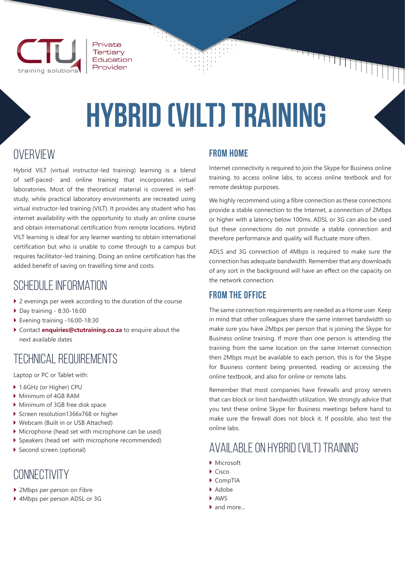

Private Tertiary Education Provider

# **hybrid (vilt) training**

# **OVERVIEW**

Hybrid VILT (virtual instructor-led training) learning is a blend of self-paced- and online training that incorporates virtual laboratories. Most of the theoretical material is covered in selfstudy, while practical laboratory environments are recreated using virtual instructor-led training (VILT). It provides any student who has internet availability with the opportunity to study an online course and obtain international certification from remote locations. Hybrid VILT learning is ideal for any learner wanting to obtain international certification but who is unable to come through to a campus but requires facilitator-led training. Doing an online certification has the added benefit of saving on travelling time and costs.

## sChedule information

- $\blacktriangleright$  2 evenings per week according to the duration of the course
- $\triangleright$  Day training 8:30-16:00
- ` Evening training -16:00-18:30
- ` Contact **enquiries@ctutraining.co.za** to enquire about the next available dates

# technical Requirements

Laptop or PC or Tablet with:

- ▶ 1.6GHz (or Higher) CPU
- $\triangleright$  Minimum of 4GB RAM
- ` Minimum of 3GB free disk space
- ▶ Screen resolution1366x768 or higher
- ` Webcam (Built in or USB Attached)
- $\triangleright$  Microphone (head set with microphone can be used)
- ` Speakers (head set with microphone recommended)
- Second screen (optional)

### connectivity

- ▶ 2Mbps per person on Fibre
- ▶ 4Mbps per person ADSL or 3G

#### **From Home**

Internet connectivity is required to join the Skype for Business online training, to access online labs, to access online textbook and for remote desktop purposes.

an an Dùbhlach

We highly recommend using a fibre connection as these connections provide a stable connection to the Internet, a connection of 2Mbps or higher with a latency below 100ms. ADSL or 3G can also be used but these connections do not provide a stable connection and therefore performance and quality will fluctuate more often.

ADLS and 3G connection of 4Mbps is required to make sure the connection has adequate bandwidth. Remember that any downloads of any sort in the background will have an effect on the capacity on the network connection.

#### **From the Office**

The same connection requirements are needed as a Home user. Keep in mind that other colleagues share the same internet bandwidth so make sure you have 2Mbps per person that is joining the Skype for Business online training. If more than one person is attending the training from the same location on the same Internet connection then 2Mbps must be available to each person, this is for the Skype for Business content being presented, reading or accessing the online textbook, and also for online or remote labs.

Remember that most companies have firewalls and proxy servers that can block or limit bandwidth utilization. We strongly advice that you test these online Skype for Business meetings before hand to make sure the firewall does not block it. If possible, also test the online labs.

# available on hybrid (vilt) training

- $\blacktriangleright$  Microsoft
- $\triangleright$  Cisco
- $\blacktriangleright$  CompTIA
- $A$  Adobe
- ` AWS
- $\bullet$  and more.